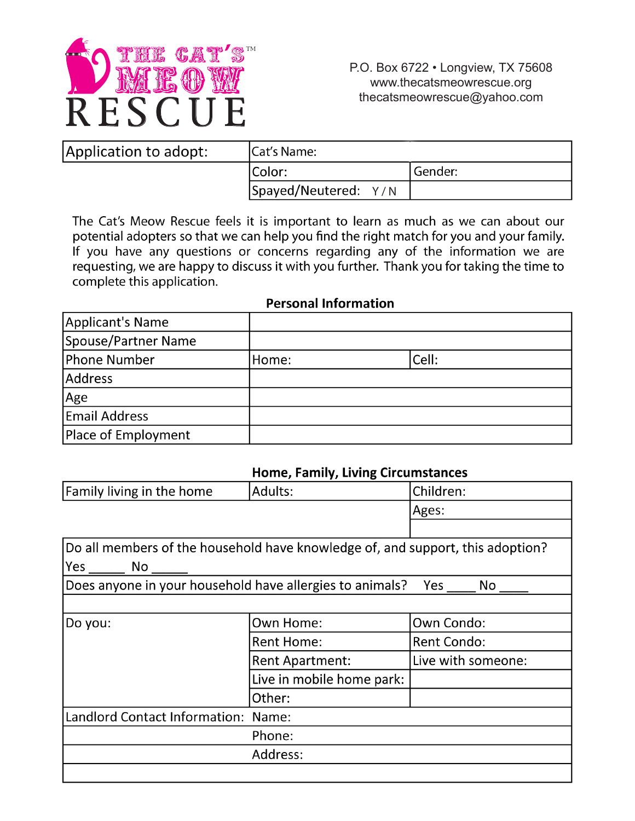

| Application to adopt: | <b>ICat's Name:</b>        |         |
|-----------------------|----------------------------|---------|
|                       | Color:                     | Gender: |
|                       | $ S$ payed/Neutered: $Y/N$ |         |

The Cat's Meow Rescue feels it is important to learn as much as we can about our potential adopters so that we can help you find the right match for you and your family. If you have any questions or concerns regarding any of the information we are requesting, we are happy to discuss it with you further. Thank you for taking the time to complete this application.

#### **Applicant's Name Spouse/Partner Name Phone Number** Cell: Home: **Address** Age **Email Address** Place of Employment

### **Personal Information**

#### **Home. Family. Living Circumstances**

| <b>Family living in the home</b>                                               | Adults:                   | Children:          |  |  |
|--------------------------------------------------------------------------------|---------------------------|--------------------|--|--|
|                                                                                |                           | Ages:              |  |  |
|                                                                                |                           |                    |  |  |
| Do all members of the household have knowledge of, and support, this adoption? |                           |                    |  |  |
| Yes No                                                                         |                           |                    |  |  |
| Does anyone in your household have allergies to animals?<br>Yes<br>No          |                           |                    |  |  |
|                                                                                |                           |                    |  |  |
| Do you:                                                                        | Own Home:                 | Own Condo:         |  |  |
|                                                                                | <b>Rent Home:</b>         | Rent Condo:        |  |  |
|                                                                                | <b>Rent Apartment:</b>    | Live with someone: |  |  |
|                                                                                | Live in mobile home park: |                    |  |  |
|                                                                                | Other:                    |                    |  |  |
| Landlord Contact Information: Name:                                            |                           |                    |  |  |
|                                                                                | Phone:                    |                    |  |  |
|                                                                                | Address:                  |                    |  |  |
|                                                                                |                           |                    |  |  |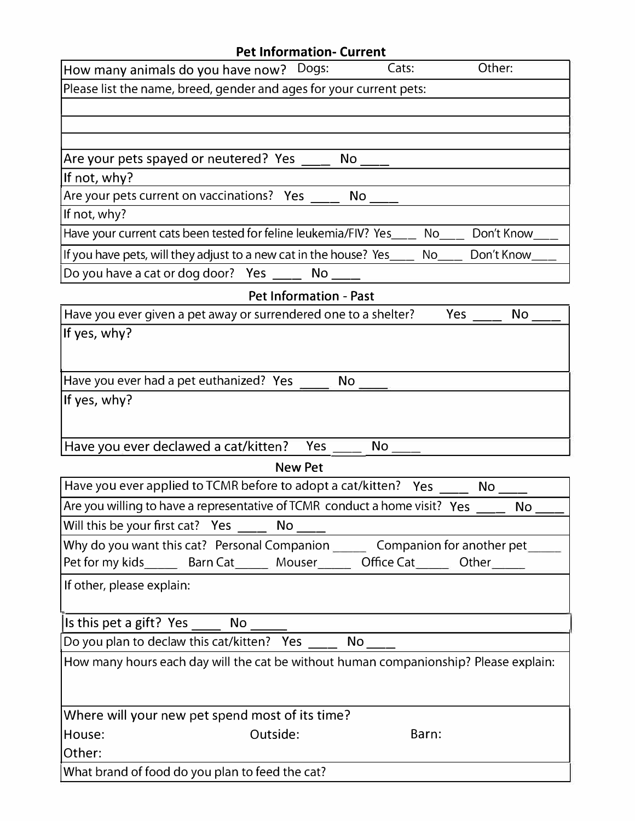| <b>Pet Information- Current</b>                                                                     |
|-----------------------------------------------------------------------------------------------------|
| Other:<br>How many animals do you have now?<br>Cats:<br>Dogs:                                       |
| Please list the name, breed, gender and ages for your current pets:                                 |
|                                                                                                     |
|                                                                                                     |
|                                                                                                     |
| Are your pets spayed or neutered? Yes<br>No                                                         |
| If not, why?                                                                                        |
| Are your pets current on vaccinations? Yes<br><b>No</b>                                             |
| If not, why?<br>Have your current cats been tested for feline leukemia/FIV? Yes<br>Don't Know<br>No |
|                                                                                                     |
| If you have pets, will they adjust to a new cat in the house? Yes_<br>Don't Know<br>No              |
| Do you have a cat or dog door? Yes<br>No                                                            |
| <b>Pet Information - Past</b>                                                                       |
| Have you ever given a pet away or surrendered one to a shelter?<br>Yes<br><b>No</b>                 |
| If yes, why?                                                                                        |
|                                                                                                     |
| Have you ever had a pet euthanized? Yes<br>No                                                       |
| If yes, why?                                                                                        |
|                                                                                                     |
|                                                                                                     |
| Have you ever declawed a cat/kitten?<br>No<br>Yes                                                   |
| <b>New Pet</b>                                                                                      |
| Have you ever applied to TCMR before to adopt a cat/kitten?<br>Yes<br>No                            |
| Are you willing to have a representative of TCMR conduct a home visit? Yes<br><b>No</b>             |
|                                                                                                     |
| Why do you want this cat? Personal Companion ________ Companion for another pet______               |
| Pet for my kids________ Barn Cat________ Mouser________ Office Cat_______ Other______               |
| If other, please explain:                                                                           |
|                                                                                                     |
|                                                                                                     |
| Do you plan to declaw this cat/kitten? Yes _____ No ____                                            |
| How many hours each day will the cat be without human companionship? Please explain:                |
|                                                                                                     |
|                                                                                                     |
| Where will your new pet spend most of its time?                                                     |
| Outside:<br>House:<br>Barn:                                                                         |
| Other:                                                                                              |
| What brand of food do you plan to feed the cat?                                                     |